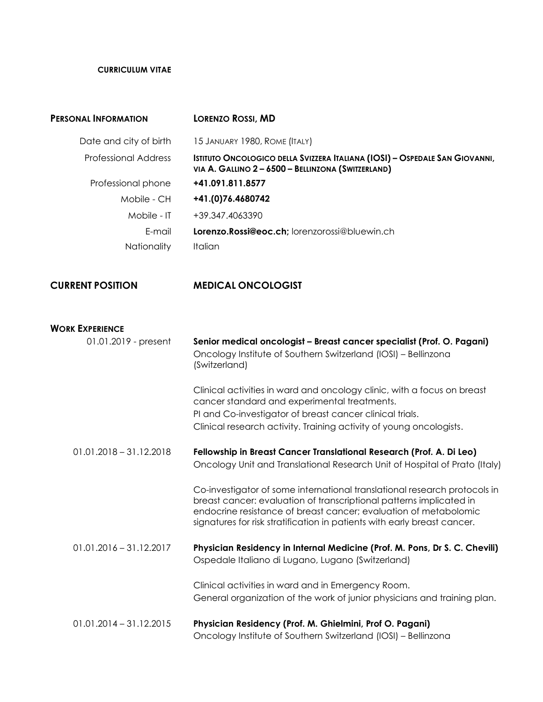## **CURRICULUM VITAE**

| <b>PERSONAL INFORMATION</b> | <b>LORENZO ROSSI, MD</b>                                                                                                          |
|-----------------------------|-----------------------------------------------------------------------------------------------------------------------------------|
| Date and city of birth      | 15 JANUARY 1980, ROME (ITALY)                                                                                                     |
| Professional Address        | ISTITUTO ONCOLOGICO DELLA SVIZZERA ITALIANA (IOSI) - OSPEDALE SAN GIOVANNI,<br>VIA A. GALLINO 2 - 6500 - BELLINZONA (SWITZERLAND) |
| Professional phone          | +41.091.811.8577                                                                                                                  |
| Mobile - CH                 | +41.(0)76.4680742                                                                                                                 |
| Mobile - IT                 | +39.347.4063390                                                                                                                   |
| E-mail                      | Lorenzo. Rossi@eoc.ch; lorenzorossi@bluewin.ch                                                                                    |
| <b>Nationality</b>          | <b>Italian</b>                                                                                                                    |
|                             |                                                                                                                                   |

## **CURRENT POSITION MEDICAL ONCOLOGIST**

## **WORK EXPERIENCE**

| 01.01.2019 - present      | Senior medical oncologist - Breast cancer specialist (Prof. O. Pagani)<br>Oncology Institute of Southern Switzerland (IOSI) - Bellinzona<br>(Switzerland)                                                                                                                                        |
|---------------------------|--------------------------------------------------------------------------------------------------------------------------------------------------------------------------------------------------------------------------------------------------------------------------------------------------|
|                           | Clinical activities in ward and oncology clinic, with a focus on breast<br>cancer standard and experimental treatments.<br>PI and Co-investigator of breast cancer clinical trials.<br>Clinical research activity. Training activity of young oncologists.                                       |
| $01.01.2018 - 31.12.2018$ | Fellowship in Breast Cancer Translational Research (Prof. A. Di Leo)<br>Oncology Unit and Translational Research Unit of Hospital of Prato (Italy)                                                                                                                                               |
|                           | Co-investigator of some international translational research protocols in<br>breast cancer: evaluation of transcriptional patterns implicated in<br>endocrine resistance of breast cancer; evaluation of metabolomic<br>signatures for risk stratification in patients with early breast cancer. |
| $01.01.2016 - 31.12.2017$ | Physician Residency in Internal Medicine (Prof. M. Pons, Dr S. C. Chevili)<br>Ospedale Italiano di Lugano, Lugano (Switzerland)                                                                                                                                                                  |
|                           | Clinical activities in ward and in Emergency Room.<br>General organization of the work of junior physicians and training plan.                                                                                                                                                                   |
| $01.01.2014 - 31.12.2015$ | Physician Residency (Prof. M. Ghielmini, Prof O. Pagani)<br>Oncology Institute of Southern Switzerland (IOSI) - Bellinzona                                                                                                                                                                       |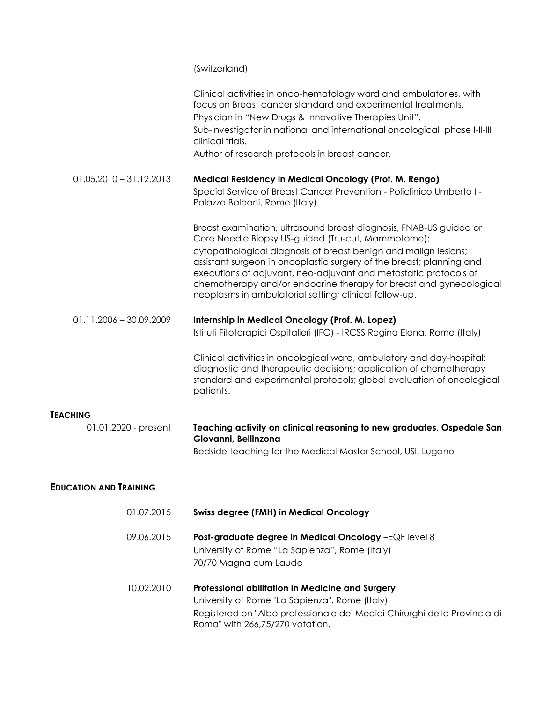|                               | (Switzerland)                                                                                                                                                                                                                    |
|-------------------------------|----------------------------------------------------------------------------------------------------------------------------------------------------------------------------------------------------------------------------------|
|                               | Clinical activities in onco-hematology ward and ambulatories, with<br>focus on Breast cancer standard and experimental treatments.                                                                                               |
|                               | Physician in "New Drugs & Innovative Therapies Unit".                                                                                                                                                                            |
|                               | Sub-investigator in national and international oncological phase I-II-III<br>clinical trials.                                                                                                                                    |
|                               | Author of research protocols in breast cancer.                                                                                                                                                                                   |
| $01.05.2010 - 31.12.2013$     | Medical Residency in Medical Oncology (Prof. M. Rengo)                                                                                                                                                                           |
|                               | Special Service of Breast Cancer Prevention - Policlinico Umberto I -<br>Palazzo Baleani, Rome (Italy)                                                                                                                           |
|                               | Breast examination, ultrasound breast diagnosis, FNAB-US guided or<br>Core Needle Biopsy US-guided (Tru-cut, Mammotome);                                                                                                         |
|                               | cytopathological diagnosis of breast benign and malign lesions;<br>assistant surgeon in oncoplastic surgery of the breast; planning and<br>executions of adjuvant, neo-adjuvant and metastatic protocols of                      |
|                               | chemotherapy and/or endocrine therapy for breast and gynecological<br>neoplasms in ambulatorial setting; clinical follow-up.                                                                                                     |
| $01.11.2006 - 30.09.2009$     | Internship in Medical Oncology (Prof. M. Lopez)                                                                                                                                                                                  |
|                               | Istituti Fitoterapici Ospitalieri (IFO) - IRCSS Regina Elena, Rome (Italy)                                                                                                                                                       |
|                               | Clinical activities in oncological ward, ambulatory and day-hospital:<br>diagnostic and therapeutic decisions; application of chemotherapy<br>standard and experimental protocols; global evaluation of oncological<br>patients. |
| <b>TEACHING</b>               |                                                                                                                                                                                                                                  |
| 01.01.2020 - present          | Teaching activity on clinical reasoning to new graduates, Ospedale San<br>Giovanni, Bellinzona                                                                                                                                   |
|                               | Bedside teaching for the Medical Master School, USI, Lugano                                                                                                                                                                      |
| <b>EDUCATION AND TRAINING</b> |                                                                                                                                                                                                                                  |
| 01.07.2015                    | <b>Swiss degree (FMH) in Medical Oncology</b>                                                                                                                                                                                    |
| 09.06.2015                    | Post-graduate degree in Medical Oncology -EQF level 8<br>University of Rome "La Sapienza", Rome (Italy)<br>70/70 Magna cum Laude                                                                                                 |
| 10.02.2010                    | Professional abilitation in Medicine and Surgery<br>University of Rome "La Sapienza", Rome (Italy)<br>Registered on "Albo professionale dei Medici Chirurghi della Provincia di<br>Roma" with 266,75/270 votation.               |